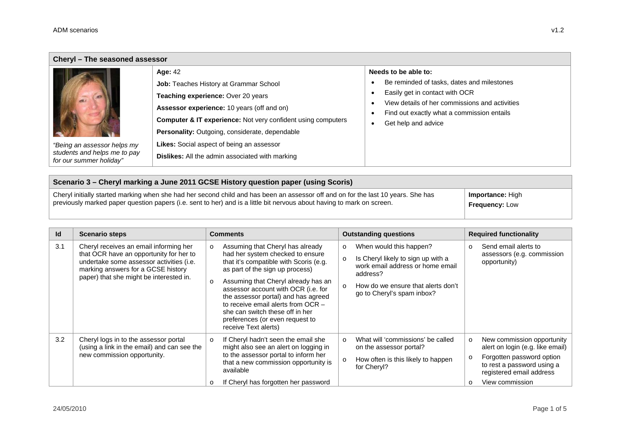$\blacksquare$ 

| Cheryl - The seasoned assessor                          |                                                                         |                                                                   |  |  |  |  |
|---------------------------------------------------------|-------------------------------------------------------------------------|-------------------------------------------------------------------|--|--|--|--|
|                                                         | <b>Age: 42</b>                                                          | Needs to be able to:                                              |  |  |  |  |
|                                                         | <b>Job: Teaches History at Grammar School</b>                           | Be reminded of tasks, dates and milestones                        |  |  |  |  |
|                                                         | Teaching experience: Over 20 years                                      | Easily get in contact with OCR                                    |  |  |  |  |
|                                                         | Assessor experience: 10 years (off and on)                              | View details of her commissions and activities                    |  |  |  |  |
|                                                         | <b>Computer &amp; IT experience:</b> Not very confident using computers | Find out exactly what a commission entails<br>Get help and advice |  |  |  |  |
|                                                         | <b>Personality:</b> Outgoing, considerate, dependable                   |                                                                   |  |  |  |  |
| "Being an assessor helps my                             | <b>Likes:</b> Social aspect of being an assessor                        |                                                                   |  |  |  |  |
| students and helps me to pay<br>for our summer holiday" | <b>Dislikes:</b> All the admin associated with marking                  |                                                                   |  |  |  |  |

| Scenario 3 – Cheryl marking a June 2011 GCSE History question paper (using Scoris)                                                |                         |  |  |  |
|-----------------------------------------------------------------------------------------------------------------------------------|-------------------------|--|--|--|
| Cheryl initially started marking when she had her second child and has been an assessor off and on for the last 10 years. She has | <b>Importance: High</b> |  |  |  |
| previously marked paper question papers (i.e. sent to her) and is a little bit nervous about having to mark on screen.            | <b>Frequency: Low</b>   |  |  |  |

| Id  | <b>Scenario steps</b>                                                                                                                                                                                          | <b>Comments</b>                                                                                                                                                                                                                                                                                                                                                                                                        | <b>Outstanding questions</b>                                                                                                                                                                                        | <b>Required functionality</b>                                                                                                                                                                  |
|-----|----------------------------------------------------------------------------------------------------------------------------------------------------------------------------------------------------------------|------------------------------------------------------------------------------------------------------------------------------------------------------------------------------------------------------------------------------------------------------------------------------------------------------------------------------------------------------------------------------------------------------------------------|---------------------------------------------------------------------------------------------------------------------------------------------------------------------------------------------------------------------|------------------------------------------------------------------------------------------------------------------------------------------------------------------------------------------------|
| 3.1 | Cheryl receives an email informing her<br>that OCR have an opportunity for her to<br>undertake some assessor activities (i.e.<br>marking answers for a GCSE history<br>paper) that she might be interested in. | Assuming that Cheryl has already<br>had her system checked to ensure<br>that it's compatible with Scoris (e.g.<br>as part of the sign up process)<br>Assuming that Cheryl already has an<br>$\Omega$<br>assessor account with OCR (i.e. for<br>the assessor portal) and has agreed<br>to receive email alerts from OCR -<br>she can switch these off in her<br>preferences (or even request to<br>receive Text alerts) | When would this happen?<br>$\circ$<br>Is Cheryl likely to sign up with a<br>$\circ$<br>work email address or home email<br>address?<br>How do we ensure that alerts don't<br>$\Omega$<br>go to Cheryl's spam inbox? | Send email alerts to<br>$\circ$<br>assessors (e.g. commission<br>opportunity)                                                                                                                  |
| 3.2 | Cheryl logs in to the assessor portal<br>(using a link in the email) and can see the<br>new commission opportunity.                                                                                            | If Cheryl hadn't seen the email she<br>$\Omega$<br>might also see an alert on logging in<br>to the assessor portal to inform her<br>that a new commission opportunity is<br>available<br>If Cheryl has forgotten her password                                                                                                                                                                                          | What will 'commissions' be called<br>$\Omega$<br>on the assessor portal?<br>How often is this likely to happen<br>$\circ$<br>for Cheryl?                                                                            | New commission opportunity<br>$\circ$<br>alert on login (e.g. like email)<br>Forgotten password option<br>$\circ$<br>to rest a password using a<br>registered email address<br>View commission |

۰.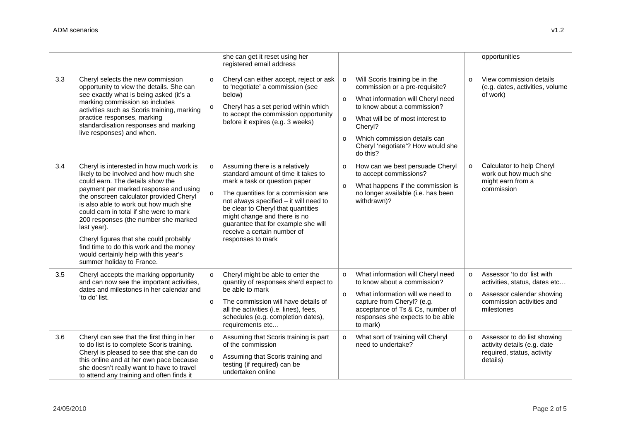|     |                                                                                                                                                                                                                                                                                                                                                                                                                                                                                                                  | she can get it reset using her<br>registered email address                                                                                                                                                                                                                                                                                                                                                                                                                                                                            | opportunities                                                                                                                                             |
|-----|------------------------------------------------------------------------------------------------------------------------------------------------------------------------------------------------------------------------------------------------------------------------------------------------------------------------------------------------------------------------------------------------------------------------------------------------------------------------------------------------------------------|---------------------------------------------------------------------------------------------------------------------------------------------------------------------------------------------------------------------------------------------------------------------------------------------------------------------------------------------------------------------------------------------------------------------------------------------------------------------------------------------------------------------------------------|-----------------------------------------------------------------------------------------------------------------------------------------------------------|
| 3.3 | Cheryl selects the new commission<br>opportunity to view the details. She can<br>see exactly what is being asked (it's a<br>marking commission so includes<br>activities such as Scoris training, marking<br>practice responses, marking<br>standardisation responses and marking<br>live responses) and when.                                                                                                                                                                                                   | Cheryl can either accept, reject or ask<br>Will Scoris training be in the<br>$\circ$<br>to 'negotiate' a commission (see<br>commission or a pre-requisite?<br>below)<br>What information will Cheryl need<br>$\circ$<br>to know about a commission?<br>Cheryl has a set period within which<br>to accept the commission opportunity<br>What will be of most interest to<br>$\circ$<br>before it expires (e.g. 3 weeks)<br>Cheryl?<br>Which commission details can<br>$\circ$<br>Cheryl 'negotiate'? How would she<br>do this?         | View commission details<br>$\circ$<br>(e.g. dates, activities, volume<br>of work)                                                                         |
| 3.4 | Cheryl is interested in how much work is<br>likely to be involved and how much she<br>could earn. The details show the<br>payment per marked response and using<br>the onscreen calculator provided Cheryl<br>is also able to work out how much she<br>could earn in total if she were to mark<br>200 responses (the number she marked<br>last year).<br>Cheryl figures that she could probably<br>find time to do this work and the money<br>would certainly help with this year's<br>summer holiday to France. | Assuming there is a relatively<br>How can we best persuade Cheryl<br>$\circ$<br>standard amount of time it takes to<br>to accept commissions?<br>mark a task or question paper<br>What happens if the commission is<br>$\circ$<br>no longer available (i.e. has been<br>The quantities for a commission are<br>not always specified - it will need to<br>withdrawn)?<br>be clear to Cheryl that quantities<br>might change and there is no<br>guarantee that for example she will<br>receive a certain number of<br>responses to mark | Calculator to help Cheryl<br>$\circ$<br>work out how much she<br>might earn from a<br>commission                                                          |
| 3.5 | Cheryl accepts the marking opportunity<br>and can now see the important activities,<br>dates and milestones in her calendar and<br>'to do' list.                                                                                                                                                                                                                                                                                                                                                                 | Cheryl might be able to enter the<br>What information will Cheryl need<br>$\circ$<br>to know about a commission?<br>quantity of responses she'd expect to<br>be able to mark<br>What information will we need to<br>$\circ$<br>The commission will have details of<br>capture from Cheryl? (e.g.<br>acceptance of Ts & Cs, number of<br>all the activities (i.e. lines), fees,<br>schedules (e.g. completion dates),<br>responses she expects to be able<br>requirements etc<br>to mark)                                              | Assessor 'to do' list with<br>$\circ$<br>activities, status, dates etc<br>Assessor calendar showing<br>$\circ$<br>commission activities and<br>milestones |
| 3.6 | Cheryl can see that the first thing in her<br>to do list is to complete Scoris training.<br>Cheryl is pleased to see that she can do<br>this online and at her own pace because<br>she doesn't really want to have to travel<br>to attend any training and often finds it                                                                                                                                                                                                                                        | Assuming that Scoris training is part<br>What sort of training will Cheryl<br>$\circ$<br>need to undertake?<br>of the commission<br>Assuming that Scoris training and<br>testing (if required) can be<br>undertaken online                                                                                                                                                                                                                                                                                                            | Assessor to do list showing<br>$\circ$<br>activity details (e.g. date<br>required, status, activity<br>details)                                           |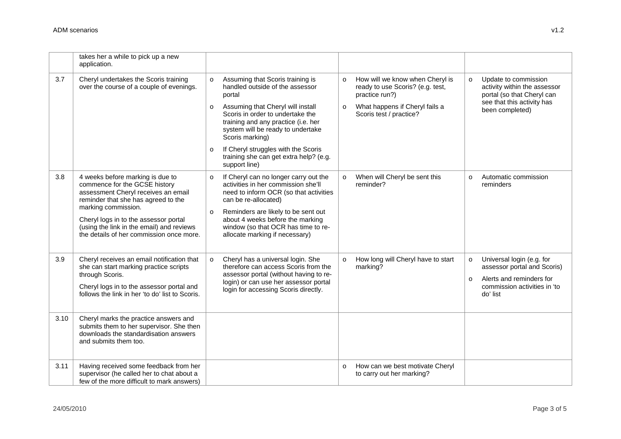|      | takes her a while to pick up a new<br>application.                                                                                                                                                                                                                                                       |                                                                                                                                                                                                                                                                                                                                                                                                                |                                                                                                                                                    |                                                                                                                                                        |
|------|----------------------------------------------------------------------------------------------------------------------------------------------------------------------------------------------------------------------------------------------------------------------------------------------------------|----------------------------------------------------------------------------------------------------------------------------------------------------------------------------------------------------------------------------------------------------------------------------------------------------------------------------------------------------------------------------------------------------------------|----------------------------------------------------------------------------------------------------------------------------------------------------|--------------------------------------------------------------------------------------------------------------------------------------------------------|
| 3.7  | Cheryl undertakes the Scoris training<br>over the course of a couple of evenings.                                                                                                                                                                                                                        | Assuming that Scoris training is<br>$\circ$<br>$\circ$<br>handled outside of the assessor<br>portal<br>Assuming that Cheryl will install<br>$\circ$<br>$\circ$<br>Scoris in order to undertake the<br>training and any practice (i.e. her<br>system will be ready to undertake<br>Scoris marking)<br>If Cheryl struggles with the Scoris<br>$\circ$<br>training she can get extra help? (e.g.<br>support line) | How will we know when Cheryl is<br>ready to use Scoris? (e.g. test,<br>practice run?)<br>What happens if Cheryl fails a<br>Scoris test / practice? | Update to commission<br>$\circ$<br>activity within the assessor<br>portal (so that Cheryl can<br>see that this activity has<br>been completed)         |
| 3.8  | 4 weeks before marking is due to<br>commence for the GCSE history<br>assessment Cheryl receives an email<br>reminder that she has agreed to the<br>marking commission.<br>Cheryl logs in to the assessor portal<br>(using the link in the email) and reviews<br>the details of her commission once more. | If Cheryl can no longer carry out the<br>$\circ$<br>$\circ$<br>activities in her commission she'll<br>need to inform OCR (so that activities<br>can be re-allocated)<br>Reminders are likely to be sent out<br>$\circ$<br>about 4 weeks before the marking<br>window (so that OCR has time to re-<br>allocate marking if necessary)                                                                            | When will Cheryl be sent this<br>reminder?                                                                                                         | Automatic commission<br>$\circ$<br>reminders                                                                                                           |
| 3.9  | Cheryl receives an email notification that<br>she can start marking practice scripts<br>through Scoris.<br>Cheryl logs in to the assessor portal and<br>follows the link in her 'to do' list to Scoris.                                                                                                  | Cheryl has a universal login. She<br>$\circ$<br>$\circ$<br>therefore can access Scoris from the<br>assessor portal (without having to re-<br>login) or can use her assessor portal<br>login for accessing Scoris directly.                                                                                                                                                                                     | How long will Cheryl have to start<br>marking?                                                                                                     | Universal login (e.g. for<br>$\circ$<br>assessor portal and Scoris)<br>Alerts and reminders for<br>$\circ$<br>commission activities in 'to<br>do' list |
| 3.10 | Cheryl marks the practice answers and<br>submits them to her supervisor. She then<br>downloads the standardisation answers<br>and submits them too.                                                                                                                                                      |                                                                                                                                                                                                                                                                                                                                                                                                                |                                                                                                                                                    |                                                                                                                                                        |
| 3.11 | Having received some feedback from her<br>supervisor (he called her to chat about a<br>few of the more difficult to mark answers)                                                                                                                                                                        | $\circ$                                                                                                                                                                                                                                                                                                                                                                                                        | How can we best motivate Cheryl<br>to carry out her marking?                                                                                       |                                                                                                                                                        |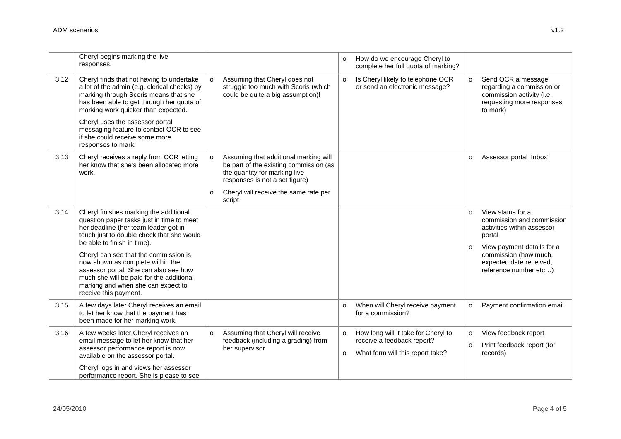|      | Cheryl begins marking the live<br>responses.                                                                                                                                                                                  |          |                                                                                                                                                    | $\circ$            | How do we encourage Cheryl to<br>complete her full quota of marking?                                  |                    |                                                                                                                       |
|------|-------------------------------------------------------------------------------------------------------------------------------------------------------------------------------------------------------------------------------|----------|----------------------------------------------------------------------------------------------------------------------------------------------------|--------------------|-------------------------------------------------------------------------------------------------------|--------------------|-----------------------------------------------------------------------------------------------------------------------|
| 3.12 | Cheryl finds that not having to undertake<br>a lot of the admin (e.g. clerical checks) by<br>marking through Scoris means that she<br>has been able to get through her quota of<br>marking work quicker than expected.        | $\Omega$ | Assuming that Cheryl does not<br>struggle too much with Scoris (which<br>could be quite a big assumption)!                                         | $\circ$            | Is Cheryl likely to telephone OCR<br>or send an electronic message?                                   | $\circ$            | Send OCR a message<br>regarding a commission or<br>commission activity (i.e.<br>requesting more responses<br>to mark) |
|      | Cheryl uses the assessor portal<br>messaging feature to contact OCR to see<br>if she could receive some more<br>responses to mark.                                                                                            |          |                                                                                                                                                    |                    |                                                                                                       |                    |                                                                                                                       |
| 3.13 | Cheryl receives a reply from OCR letting<br>her know that she's been allocated more<br>work.                                                                                                                                  | $\circ$  | Assuming that additional marking will<br>be part of the existing commission (as<br>the quantity for marking live<br>responses is not a set figure) |                    |                                                                                                       | $\circ$            | Assessor portal 'Inbox'                                                                                               |
|      |                                                                                                                                                                                                                               | $\circ$  | Cheryl will receive the same rate per<br>script                                                                                                    |                    |                                                                                                       |                    |                                                                                                                       |
| 3.14 | Cheryl finishes marking the additional<br>question paper tasks just in time to meet<br>her deadline (her team leader got in<br>touch just to double check that she would<br>be able to finish in time).                       |          |                                                                                                                                                    |                    |                                                                                                       | $\circ$            | View status for a<br>commission and commission<br>activities within assessor<br>portal                                |
|      | Cheryl can see that the commission is<br>now shown as complete within the<br>assessor portal. She can also see how<br>much she will be paid for the additional<br>marking and when she can expect to<br>receive this payment. |          |                                                                                                                                                    |                    |                                                                                                       | $\circ$            | View payment details for a<br>commission (how much,<br>expected date received,<br>reference number etc)               |
| 3.15 | A few days later Cheryl receives an email<br>to let her know that the payment has<br>been made for her marking work.                                                                                                          |          |                                                                                                                                                    | $\circ$            | When will Cheryl receive payment<br>for a commission?                                                 | $\circ$            | Payment confirmation email                                                                                            |
| 3.16 | A few weeks later Cheryl receives an<br>email message to let her know that her<br>assessor performance report is now<br>available on the assessor portal.                                                                     | $\Omega$ | Assuming that Cheryl will receive<br>feedback (including a grading) from<br>her supervisor                                                         | $\circ$<br>$\circ$ | How long will it take for Cheryl to<br>receive a feedback report?<br>What form will this report take? | $\circ$<br>$\circ$ | View feedback report<br>Print feedback report (for<br>records)                                                        |
|      | Cheryl logs in and views her assessor<br>performance report. She is please to see                                                                                                                                             |          |                                                                                                                                                    |                    |                                                                                                       |                    |                                                                                                                       |